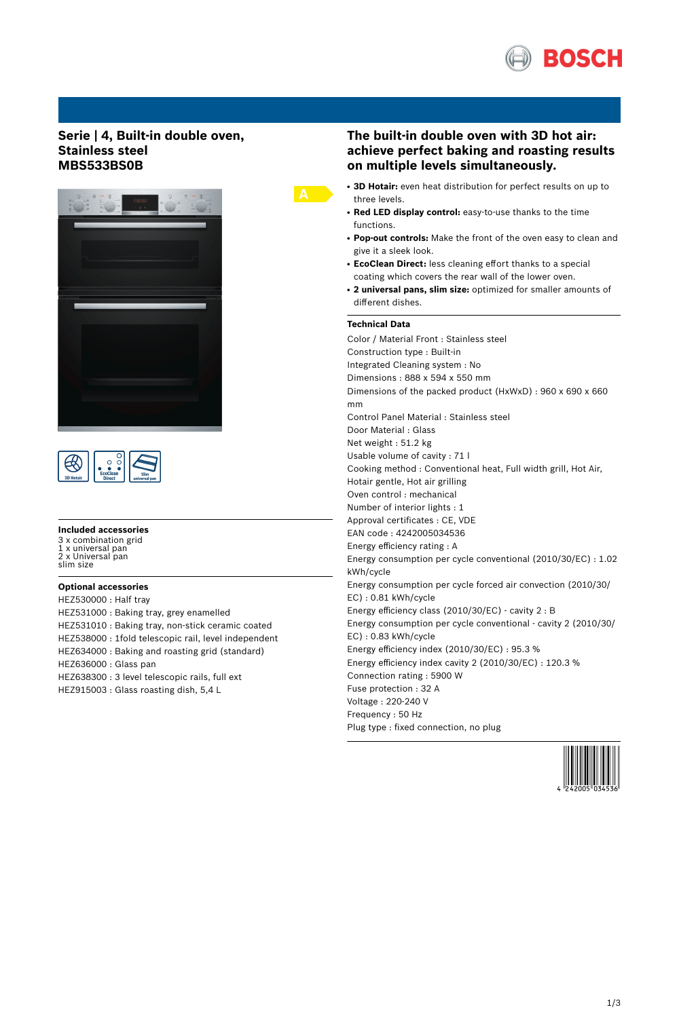

## **Serie | 4, Built-in double oven, Stainless steel MBS533BS0B**





#### **Included accessories**

3 x combination grid 1 x universal pan 2 x Universal pan slim size

### **Optional accessories**

HEZ530000 : Half tray HEZ531000 : Baking tray, grey enamelled HEZ531010 : Baking tray, non-stick ceramic coated HEZ538000 : 1fold telescopic rail, level independent HEZ634000 : Baking and roasting grid (standard) HEZ636000 : Glass pan HEZ638300 : 3 level telescopic rails, full ext HEZ915003 : Glass roasting dish, 5,4 L

## **The built-in double oven with 3D hot air: achieve perfect baking and roasting results on multiple levels simultaneously.**

- 3D Hotair: even heat distribution for perfect results on up to three levels.
- **Red LED display control:** easy-to-use thanks to the time functions.
- **Pop-out controls:** Make the front of the oven easy to clean and give it a sleek look.
- **EcoClean Direct:** less cleaning effort thanks to a special coating which covers the rear wall of the lower oven.
- **2 universal pans, slim size:** optimized for smaller amounts of different dishes.

## **Technical Data**

Color / Material Front : Stainless steel Construction type : Built-in Integrated Cleaning system : No Dimensions : 888 x 594 x 550 mm Dimensions of the packed product (HxWxD) : 960 x 690 x 660 mm Control Panel Material : Stainless steel Door Material : Glass Net weight : 51.2 kg Usable volume of cavity : 71 l Cooking method : Conventional heat, Full width grill, Hot Air, Hotair gentle, Hot air grilling Oven control : mechanical Number of interior lights : 1 Approval certificates : CE, VDE EAN code : 4242005034536 Energy efficiency rating : A Energy consumption per cycle conventional (2010/30/EC) : 1.02 kWh/cycle Energy consumption per cycle forced air convection (2010/30/ EC) : 0.81 kWh/cycle Energy efficiency class (2010/30/EC) - cavity 2 : B Energy consumption per cycle conventional - cavity 2 (2010/30/ EC) : 0.83 kWh/cycle Energy efficiency index (2010/30/EC) : 95.3 % Energy efficiency index cavity 2 (2010/30/EC) : 120.3 % Connection rating : 5900 W Fuse protection : 32 A Voltage : 220-240 V Frequency : 50 Hz Plug type : fixed connection, no plug

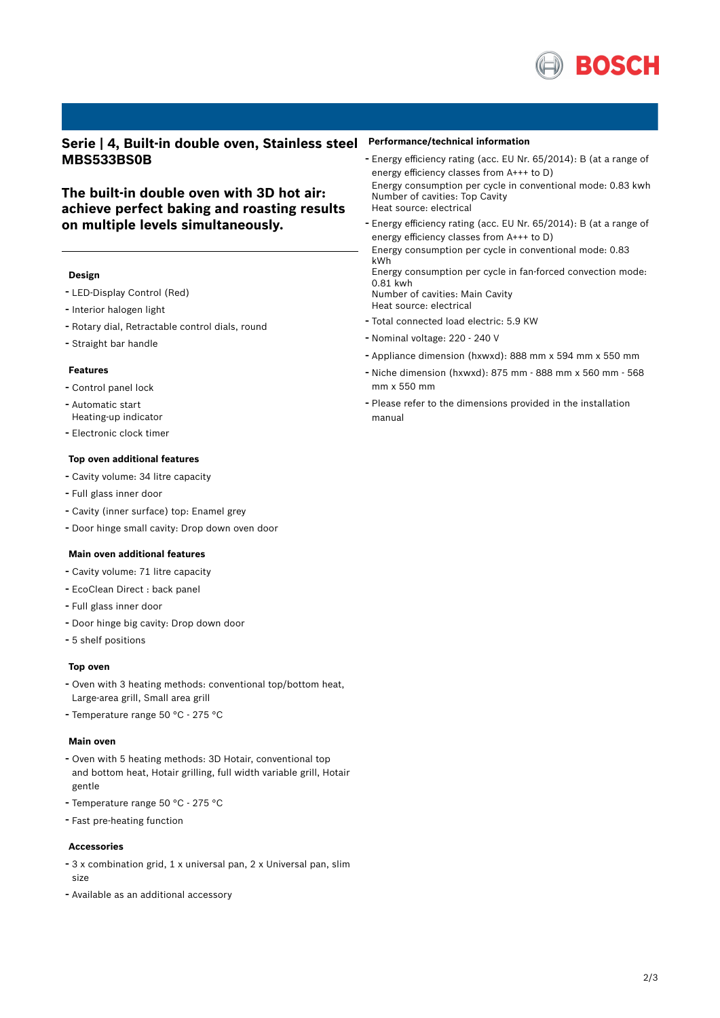

**Serie | 4, Built-in double oven, Stainless steel MBS533BS0B**

# **The built-in double oven with 3D hot air: achieve perfect baking and roasting results on multiple levels simultaneously.**

## **Design**

- LED-Display Control (Red)
- Interior halogen light
- Rotary dial, Retractable control dials, round
- Straight bar handle

#### **Features**

- Control panel lock
- Automatic start Heating-up indicator
- Electronic clock timer

#### **Top oven additional features**

- Cavity volume: <sup>34</sup> litre capacity
- Full glass inner door
- Cavity (inner surface) top: Enamel grey
- Door hinge small cavity: Drop down oven door

## **Main oven additional features**

- Cavity volume: <sup>71</sup> litre capacity
- EcoClean Direct : back panel
- Full glass inner door
- Door hinge big cavity: Drop down door
- 5 shelf positions

#### **Top oven**

- Oven with <sup>3</sup> heating methods: conventional top/bottom heat, Large-area grill, Small area grill
- Temperature range <sup>50</sup> °C <sup>275</sup> °C

#### **Main oven**

- Oven with <sup>5</sup> heating methods: 3D Hotair, conventional top and bottom heat, Hotair grilling, full width variable grill, Hotair gentle
- Temperature range <sup>50</sup> °C <sup>275</sup> °C
- Fast pre-heating function

#### **Accessories**

- <sup>3</sup> <sup>x</sup> combination grid, <sup>1</sup> <sup>x</sup> universal pan, <sup>2</sup> <sup>x</sup> Universal pan, slim size
- Available as an additional accessory

#### **Performance/technical information**

- Energy efficiency rating (acc. EU Nr. 65/2014): <sup>B</sup> (at <sup>a</sup> range of energy efficiency classes from A+++ to D) Energy consumption per cycle in conventional mode: 0.83 kwh Number of cavities: Top Cavity Heat source: electrical
- Energy efficiency rating (acc. EU Nr. 65/2014): <sup>B</sup> (at <sup>a</sup> range of energy efficiency classes from A+++ to D) Energy consumption per cycle in conventional mode: 0.83 kWh Energy consumption per cycle in fan-forced convection mode:

0.81 kwh Number of cavities: Main Cavity

Heat source: electrical

- Total connected load electric: 5.9 KW
- Nominal voltage: <sup>220</sup> <sup>240</sup> <sup>V</sup>
- Appliance dimension (hxwxd): 888 mm x 594 mm x 550 mm
- Niche dimension (hxwxd): <sup>875</sup> mm <sup>888</sup> mm <sup>x</sup> <sup>560</sup> mm <sup>568</sup> mm x 550 mm
- Please refer to the dimensions provided in the installation manual